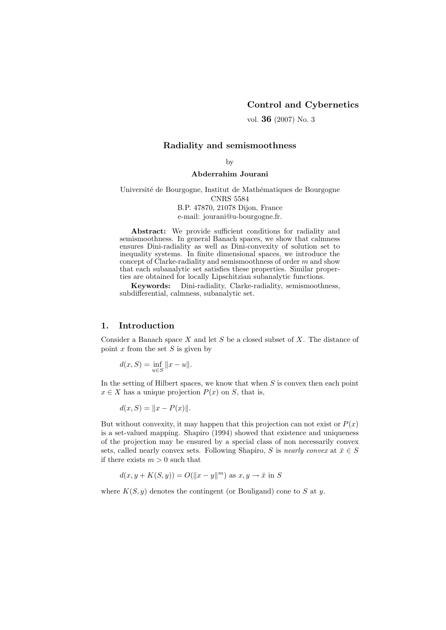## Control and Cybernetics

vol. 36 (2007) No. 3

## Radiality and semismoothness

by

#### Abderrahim Jourani

Université de Bourgogne, Institut de Mathématiques de Bourgogne CNRS 5584 B.P. 47870, 21078 Dijon, France e-mail: jourani@u-bourgogne.fr.

Abstract: We provide sufficient conditions for radiality and semismoothness. In general Banach spaces, we show that calmness ensures Dini-radiality as well as Dini-convexity of solution set to inequality systems. In finite dimensional spaces, we introduce the concept of Clarke-radiality and semismoothness of order m and show that each subanalytic set satisfies these properties. Similar properties are obtained for locally Lipschitzian subanalytic functions.

Keywords: Dini-radiality, Clarke-radiality, semismoothness, subdifferential, calmness, subanalytic set.

# 1. Introduction

Consider a Banach space  $X$  and let  $S$  be a closed subset of  $X$ . The distance of point  $x$  from the set  $S$  is given by

$$
d(x, S) = \inf_{u \in S} ||x - u||.
$$

In the setting of Hilbert spaces, we know that when  $S$  is convex then each point  $x \in X$  has a unique projection  $P(x)$  on S, that is,

$$
d(x, S) = ||x - P(x)||.
$$

But without convexity, it may happen that this projection can not exist or  $P(x)$ is a set-valued mapping. Shapiro (1994) showed that existence and uniqueness of the projection may be ensured by a special class of non necessarily convex sets, called nearly convex sets. Following Shapiro, S is nearly convex at  $\bar{x} \in S$ if there exists  $m > 0$  such that

$$
d(x, y + K(S, y)) = O(||x - y||m) \text{ as } x, y \to \bar{x} \text{ in } S
$$

where  $K(S, y)$  denotes the contingent (or Bouligand) cone to S at y.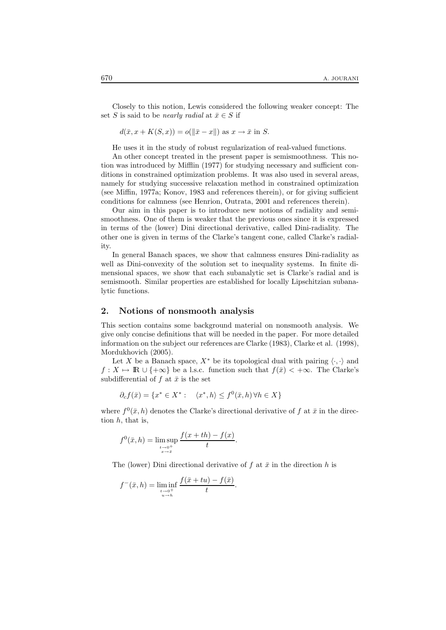Closely to this notion, Lewis considered the following weaker concept: The set S is said to be *nearly radial* at  $\bar{x} \in S$  if

 $d(\bar{x}, x + K(S, x)) = o(||\bar{x} - x||)$  as  $x \to \bar{x}$  in S.

He uses it in the study of robust regularization of real-valued functions.

An other concept treated in the present paper is semismoothness. This notion was introduced by Mifflin (1977) for studying necessary and sufficient conditions in constrained optimization problems. It was also used in several areas, namely for studying successive relaxation method in constrained optimization (see Miffin, 1977a; Konov, 1983 and references therein), or for giving sufficient conditions for calmness (see Henrion, Outrata, 2001 and references therein).

Our aim in this paper is to introduce new notions of radiality and semismoothness. One of them is weaker that the previous ones since it is expressed in terms of the (lower) Dini directional derivative, called Dini-radiality. The other one is given in terms of the Clarke's tangent cone, called Clarke's radiality.

In general Banach spaces, we show that calmness ensures Dini-radiality as well as Dini-convexity of the solution set to inequality systems. In finite dimensional spaces, we show that each subanalytic set is Clarke's radial and is semismooth. Similar properties are established for locally Lipschitzian subanalytic functions.

### 2. Notions of nonsmooth analysis

This section contains some background material on nonsmooth analysis. We give only concise definitions that will be needed in the paper. For more detailed information on the subject our references are Clarke (1983), Clarke et al. (1998), Mordukhovich (2005).

Let X be a Banach space,  $X^*$  be its topological dual with pairing  $\langle \cdot, \cdot \rangle$  and  $f: X \mapsto \mathbb{R} \cup \{+\infty\}$  be a l.s.c. function such that  $f(\bar{x}) < +\infty$ . The Clarke's subdifferential of f at  $\bar{x}$  is the set

$$
\partial_c f(\bar{x}) = \{ x^* \in X^* : \langle x^*, h \rangle \le f^0(\bar{x}, h) \,\forall h \in X \}
$$

where  $f^{0}(\bar{x}, h)$  denotes the Clarke's directional derivative of f at  $\bar{x}$  in the direction  $h$ , that is,

$$
f^{0}(\bar{x}, h) = \limsup_{\substack{t \to 0^{+} \\ x \to \bar{x}}} \frac{f(x + th) - f(x)}{t}.
$$

The (lower) Dini directional derivative of f at  $\bar{x}$  in the direction h is

$$
f^{-}(\bar{x}, h) = \liminf_{\substack{t \to 0^{+} \\ u \to h}} \frac{f(\bar{x} + tu) - f(\bar{x})}{t}.
$$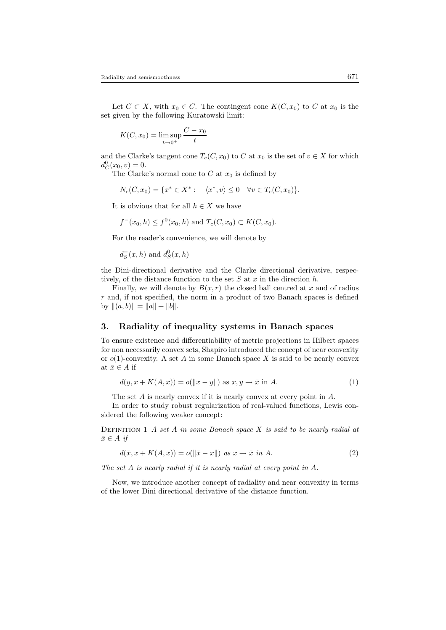Let  $C \subset X$ , with  $x_0 \in C$ . The contingent cone  $K(C, x_0)$  to C at  $x_0$  is the set given by the following Kuratowski limit:

$$
K(C, x_0) = \limsup_{t \to 0^+} \frac{C - x_0}{t}
$$

and the Clarke's tangent cone  $T_c(C, x_0)$  to C at  $x_0$  is the set of  $v \in X$  for which  $d_C^0(x_0, v) = 0.$ 

The Clarke's normal cone to  $C$  at  $x_0$  is defined by

$$
N_c(C, x_0) = \{x^* \in X^* : \langle x^*, v \rangle \le 0 \quad \forall v \in T_c(C, x_0)\}.
$$

It is obvious that for all  $h \in X$  we have

$$
f^-(x_0, h) \le f^0(x_0, h)
$$
 and  $T_c(C, x_0) \subset K(C, x_0)$ .

For the reader's convenience, we will denote by

 $d_S^-(x, h)$  and  $d_S^0(x, h)$ 

the Dini-directional derivative and the Clarke directional derivative, respectively, of the distance function to the set  $S$  at  $x$  in the direction  $h$ .

Finally, we will denote by  $B(x, r)$  the closed ball centred at x and of radius  $r$  and, if not specified, the norm in a product of two Banach spaces is defined by  $\|(a, b)\| = \|a\| + \|b\|.$ 

# 3. Radiality of inequality systems in Banach spaces

To ensure existence and differentiability of metric projections in Hilbert spaces for non necessarily convex sets, Shapiro introduced the concept of near convexity or  $o(1)$ -convexity. A set A in some Banach space X is said to be nearly convex at  $\bar{x} \in A$  if

$$
d(y, x + K(A, x)) = o(||x - y||) \text{ as } x, y \to \bar{x} \text{ in } A.
$$
 (1)

The set A is nearly convex if it is nearly convex at every point in A.

In order to study robust regularization of real-valued functions, Lewis considered the following weaker concept:

DEFINITION 1 A set A in some Banach space  $X$  is said to be nearly radial at  $\bar{x} \in A$  if

$$
d(\bar{x}, x + K(A, x)) = o(\Vert \bar{x} - x \Vert) \text{ as } x \to \bar{x} \text{ in } A. \tag{2}
$$

The set A is nearly radial if it is nearly radial at every point in A.

Now, we introduce another concept of radiality and near convexity in terms of the lower Dini directional derivative of the distance function.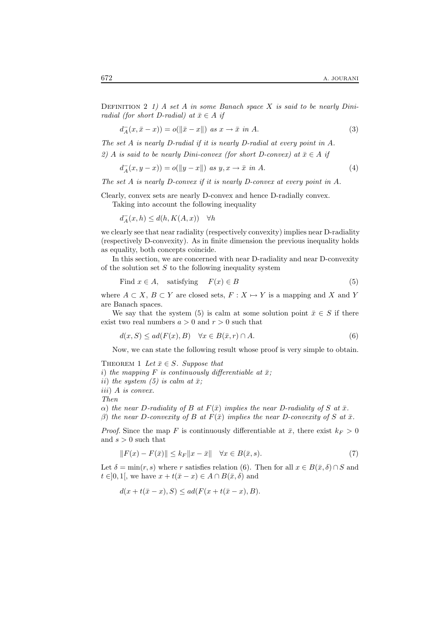DEFINITION 2 1) A set A in some Banach space X is said to be nearly Diniradial (for short D-radial) at  $\bar{x} \in A$  if

$$
d_A^-(x, \bar{x} - x)) = o(||\bar{x} - x||) \text{ as } x \to \bar{x} \text{ in } A. \tag{3}
$$

The set A is nearly D-radial if it is nearly D-radial at every point in A. 2) A is said to be nearly Dini-convex (for short D-convex) at  $\bar{x} \in A$  if

$$
d_A^-(x, y - x)) = o(||y - x||) \text{ as } y, x \to \bar{x} \text{ in } A. \tag{4}
$$

The set A is nearly D-convex if it is nearly D-convex at every point in A.

Clearly, convex sets are nearly D-convex and hence D-radially convex.

Taking into account the following inequality

 $d_A^-(x, h) \leq d(h, K(A, x)) \quad \forall h$ 

we clearly see that near radiality (respectively convexity) implies near D-radiality (respectively D-convexity). As in finite dimension the previous inequality holds as equality, both concepts coincide.

In this section, we are concerned with near D-radiality and near D-convexity of the solution set  $S$  to the following inequality system

Find 
$$
x \in A
$$
, satisfying  $F(x) \in B$  (5)

where  $A \subset X, B \subset Y$  are closed sets,  $F : X \mapsto Y$  is a mapping and X and Y are Banach spaces.

We say that the system (5) is calm at some solution point  $\bar{x} \in S$  if there exist two real numbers  $a > 0$  and  $r > 0$  such that

$$
d(x, S) \le ad(F(x), B) \quad \forall x \in B(\bar{x}, r) \cap A. \tag{6}
$$

Now, we can state the following result whose proof is very simple to obtain.

THEOREM 1 Let  $\bar{x} \in S$ . Suppose that

i) the mapping F is continuously differentiable at  $\bar{x}$ ;

ii) the system (5) is calm at  $\bar{x}$ ;

iii) A is convex.

Then

 $\alpha$ ) the near D-radiality of B at  $F(\bar{x})$  implies the near D-radiality of S at  $\bar{x}$ .

β) the near D-convexity of B at  $F(\bar{x})$  implies the near D-convexity of S at  $\bar{x}$ .

*Proof.* Since the map F is continuously differentiable at  $\bar{x}$ , there exist  $k_F > 0$ and  $s > 0$  such that

$$
||F(x) - F(\bar{x})|| \le k_F ||x - \bar{x}|| \quad \forall x \in B(\bar{x}, s).
$$
 (7)

Let  $\delta = \min(r, s)$  where r satisfies relation (6). Then for all  $x \in B(\bar{x}, \delta) \cap S$  and  $t \in ]0,1[$ , we have  $x + t(\bar{x} - x) \in A \cap B(\bar{x}, \delta)$  and

$$
d(x+t(\bar{x}-x),S) \le ad(F(x+t(\bar{x}-x),B).
$$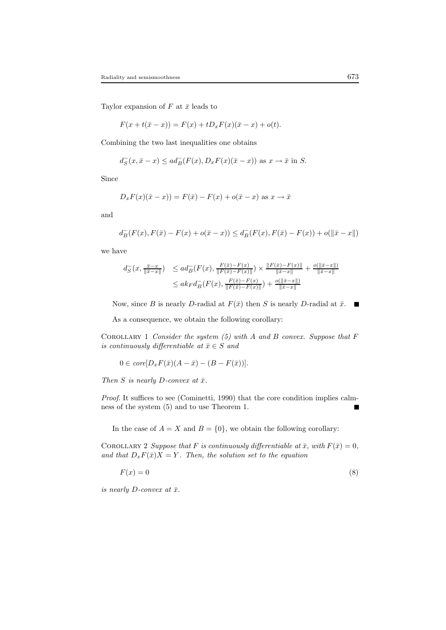Taylor expansion of  $F$  at  $\bar{x}$  leads to

$$
F(x + t(\bar{x} - x)) = F(x) + tD_x F(x)(\bar{x} - x) + o(t).
$$

Combining the two last inequalities one obtains

$$
d^-_S(x, \bar{x} - x) \le ad^-_B(F(x), D_x F(x)(\bar{x} - x)) \text{ as } x \to \bar{x} \text{ in } S.
$$

Since

$$
D_x F(x)(\bar{x} - x)) = F(\bar{x}) - F(x) + o(\bar{x} - x)
$$
 as  $x \to \bar{x}$ 

and

$$
d^-_B(F(x),F(\bar x) - F(x) + o(\bar x - x)) \leq d^-_B(F(x),F(\bar x) - F(x)) + o(\|\bar x - x\|)
$$

we have

$$
d_{S}^{-}(x, \frac{\bar{x} - x}{\|\bar{x} - x\|}) \leq ad_{B}^{-}(F(x), \frac{F(\bar{x}) - F(x)}{\|F(\bar{x}) - F(x)\|}) \times \frac{\|F(\bar{x}) - F(x)\|}{\|\bar{x} - x\|} + \frac{o(\|\bar{x} - x\|)}{\|\bar{x} - x\|}
$$
  

$$
\leq ak_{F}d_{B}^{-}(F(x), \frac{F(\bar{x}) - F(x)}{\|F(\bar{x}) - F(x)\|}) + \frac{o(\|\bar{x} - x\|)}{\|\bar{x} - x\|}
$$

Now, since B is nearly D-radial at  $F(\bar{x})$  then S is nearly D-radial at  $\bar{x}$ .  $\overline{\phantom{a}}$ 

As a consequence, we obtain the following corollary:

COROLLARY 1 Consider the system  $(5)$  with A and B convex. Suppose that F is continuously differentiable at  $\bar{x} \in S$  and

$$
0 \in core[D_x F(\bar{x})(A - \bar{x}) - (B - F(\bar{x}))].
$$

Then S is nearly D-convex at  $\bar{x}$ .

Proof. It suffices to see (Cominetti, 1990) that the core condition implies calmness of the system (5) and to use Theorem 1.

In the case of  $A = X$  and  $B = \{0\}$ , we obtain the following corollary:

COROLLARY 2 Suppose that F is continuously differentiable at  $\bar{x}$ , with  $F(\bar{x}) = 0$ , and that  $D_x F(\bar{x})X = Y$ . Then, the solution set to the equation

$$
F(x) = 0\tag{8}
$$

is nearly D-convex at  $\bar{x}$ .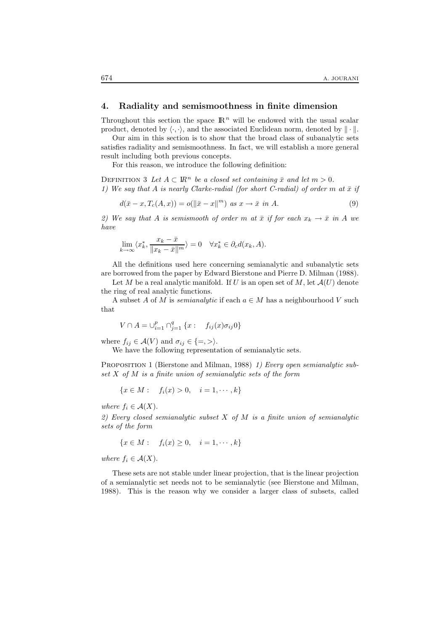## 4. Radiality and semismoothness in finite dimension

Throughout this section the space  $\mathbb{R}^n$  will be endowed with the usual scalar product, denoted by  $\langle \cdot, \cdot \rangle$ , and the associated Euclidean norm, denoted by  $\|\cdot\|$ .

Our aim in this section is to show that the broad class of subanalytic sets satisfies radiality and semismoothness. In fact, we will establish a more general result including both previous concepts.

For this reason, we introduce the following definition:

DEFINITION 3 Let  $A \subset \mathbb{R}^n$  be a closed set containing  $\bar{x}$  and let  $m > 0$ . 1) We say that A is nearly Clarke-radial (for short C-radial) of order m at  $\bar{x}$  if

$$
d(\bar{x} - x, T_c(A, x)) = o(\|\bar{x} - x\|^m) \text{ as } x \to \bar{x} \text{ in } A. \tag{9}
$$

2) We say that A is semismooth of order m at  $\bar{x}$  if for each  $x_k \to \bar{x}$  in A we have

$$
\lim_{k \to \infty} \langle x_k^*, \frac{x_k - \bar{x}}{\|x_k - \bar{x}\|^m} \rangle = 0 \quad \forall x_k^* \in \partial_c d(x_k, A).
$$

All the definitions used here concerning semianalytic and subanalytic sets are borrowed from the paper by Edward Bierstone and Pierre D. Milman (1988).

Let M be a real analytic manifold. If U is an open set of M, let  $\mathcal{A}(U)$  denote the ring of real analytic functions.

A subset A of M is *semianalytic* if each  $a \in M$  has a neighbourhood V such that

$$
V \cap A = \bigcup_{i=1}^{p} \bigcap_{j=1}^{q} \{x : f_{ij}(x)\sigma_{ij}0\}
$$

where  $f_{ij} \in \mathcal{A}(V)$  and  $\sigma_{ij} \in \{ =, > \}$ .

We have the following representation of semianalytic sets.

PROPOSITION 1 (Bierstone and Milman, 1988) 1) Every open semianalytic subset  $X$  of  $M$  is a finite union of semianalytic sets of the form

$$
\{x \in M: \quad f_i(x) > 0, \quad i = 1, \cdots, k\}
$$

where  $f_i \in \mathcal{A}(X)$ .

2) Every closed semianalytic subset  $X$  of  $M$  is a finite union of semianalytic sets of the form

$$
\{x \in M : \quad f_i(x) \ge 0, \quad i = 1, \cdots, k\}
$$

where  $f_i \in \mathcal{A}(X)$ .

These sets are not stable under linear projection, that is the linear projection of a semianalytic set needs not to be semianalytic (see Bierstone and Milman, 1988). This is the reason why we consider a larger class of subsets, called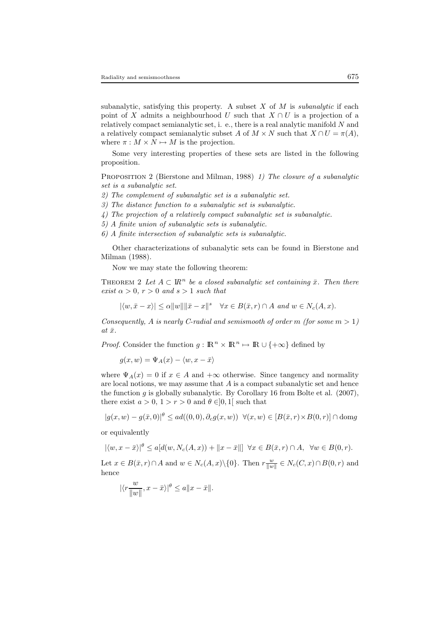subanalytic, satisfying this property. A subset  $X$  of  $M$  is *subanalytic* if each point of X admits a neighbourhood U such that  $X \cap U$  is a projection of a relatively compact semianalytic set, i. e., there is a real analytic manifold N and a relatively compact semianalytic subset A of  $M \times N$  such that  $X \cap U = \pi(A)$ , where  $\pi : M \times N \mapsto M$  is the projection.

Some very interesting properties of these sets are listed in the following proposition.

PROPOSITION 2 (Bierstone and Milman, 1988) 1) The closure of a subanalytic set is a subanalytic set.

2) The complement of subanalytic set is a subanalytic set.

3) The distance function to a subanalytic set is subanalytic.

4) The projection of a relatively compact subanalytic set is subanalytic.

5) A finite union of subanalytic sets is subanalytic.

6) A finite intersection of subanalytic sets is subanalytic.

Other characterizations of subanalytic sets can be found in Bierstone and Milman (1988).

Now we may state the following theorem:

THEOREM 2 Let  $A \subset \mathbb{R}^n$  be a closed subanalytic set containing  $\bar{x}$ . Then there exist  $\alpha > 0$ ,  $r > 0$  and  $s > 1$  such that

$$
|\langle w, \bar{x} - x \rangle| \le \alpha ||w|| \|\bar{x} - x\|^s \quad \forall x \in B(\bar{x}, r) \cap A \text{ and } w \in N_c(A, x).
$$

Consequently, A is nearly C-radial and semismooth of order m (for some  $m > 1$ ) at  $\bar{x}$ .

*Proof.* Consider the function  $g : \mathbb{R}^n \times \mathbb{R}^n \mapsto \mathbb{R} \cup \{+\infty\}$  defined by

 $g(x, w) = \Psi_A(x) - \langle w, x - \bar{x} \rangle$ 

where  $\Psi_A(x) = 0$  if  $x \in A$  and  $+\infty$  otherwise. Since tangency and normality are local notions, we may assume that  $A$  is a compact subanalytic set and hence the function  $g$  is globally subanalytic. By Corollary 16 from Bolte et al.  $(2007)$ , there exist  $a > 0$ ,  $1 > r > 0$  and  $\theta \in ]0,1[$  such that

$$
|g(x, w) - g(\bar{x}, 0)|^{\theta} \le ad((0, 0), \partial_c g(x, w)) \quad \forall (x, w) \in [B(\bar{x}, r) \times B(0, r)] \cap \text{dom} g
$$

or equivalently

$$
|\langle w, x - \bar{x} \rangle|^{\theta} \le a[d(w, N_c(A, x)) + ||x - \bar{x}||] \quad \forall x \in B(\bar{x}, r) \cap A, \quad \forall w \in B(0, r).
$$

Let  $x \in B(\bar{x}, r) \cap A$  and  $w \in N_c(A, x) \setminus \{0\}$ . Then  $r \frac{w}{\|w\|} \in N_c(C, x) \cap B(0, r)$  and hence

$$
|\langle r\frac{w}{\|w\|}, x-\bar{x}\rangle|^{\theta}\leq a\|x-\bar{x}\|.
$$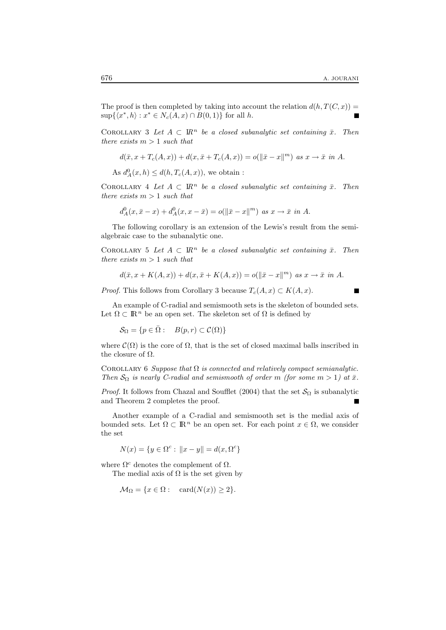The proof is then completed by taking into account the relation  $d(h, T(C, x)) =$  $\sup\{\langle x^*,h\rangle : x^* \in N_c(A,x) \cap B(0,1)\}\$ for all h.

COROLLARY 3 Let  $A \subset \mathbb{R}^n$  be a closed subanalytic set containing  $\bar{x}$ . Then there exists  $m > 1$  such that

$$
d(\bar{x}, x + T_c(A, x)) + d(x, \bar{x} + T_c(A, x)) = o(||\bar{x} - x||^m) \text{ as } x \to \bar{x} \text{ in } A.
$$

As  $d_A^0(x, h) \leq d(h, T_c(A, x))$ , we obtain :

COROLLARY 4 Let  $A \subset \mathbb{R}^n$  be a closed subanalytic set containing  $\bar{x}$ . Then there exists  $m > 1$  such that

$$
d_A^0(x, \bar{x} - x) + d_A^0(x, x - \bar{x}) = o(||\bar{x} - x||^m) \text{ as } x \to \bar{x} \text{ in } A.
$$

The following corollary is an extension of the Lewis's result from the semialgebraic case to the subanalytic one.

COROLLARY 5 Let  $A \subset \mathbb{R}^n$  be a closed subanalytic set containing  $\bar{x}$ . Then there exists  $m > 1$  such that

$$
d(\bar{x}, x + K(A, x)) + d(x, \bar{x} + K(A, x)) = o(\Vert \bar{x} - x \Vert^m) \text{ as } x \to \bar{x} \text{ in } A.
$$

*Proof.* This follows from Corollary 3 because  $T_c(A, x) \subset K(A, x)$ .

An example of C-radial and semismooth sets is the skeleton of bounded sets. Let  $\Omega \subset \mathbb{R}^n$  be an open set. The skeleton set of  $\Omega$  is defined by

$$
\mathcal{S}_{\Omega} = \{ p \in \overline{\Omega} : B(p, r) \subset \mathcal{C}(\Omega) \}
$$

where  $\mathcal{C}(\Omega)$  is the core of  $\Omega$ , that is the set of closed maximal balls inscribed in the closure of  $\Omega$ .

COROLLARY 6 Suppose that  $\Omega$  is connected and relatively compact semianalytic. Then  $S_{\Omega}$  is nearly C-radial and semismooth of order m (for some  $m > 1$ ) at  $\bar{x}$ .

*Proof.* It follows from Chazal and Soufflet (2004) that the set  $\mathcal{S}_{\Omega}$  is subanalytic and Theorem 2 completes the proof.

Another example of a C-radial and semismooth set is the medial axis of bounded sets. Let  $\Omega \subset \mathbb{R}^n$  be an open set. For each point  $x \in \Omega$ , we consider the set

 $N(x) = \{y \in \Omega^c : ||x - y|| = d(x, \Omega^c)\}\$ 

where  $\Omega^c$  denotes the complement of  $\Omega$ .

The medial axis of  $\Omega$  is the set given by

 $\mathcal{M}_{\Omega} = \{x \in \Omega : \operatorname{card}(N(x)) \geq 2\}.$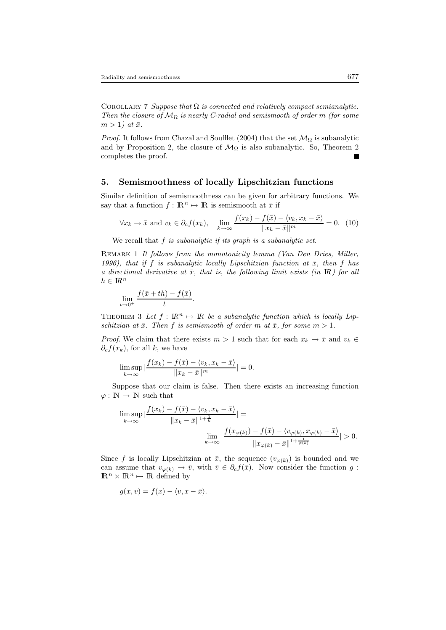COROLLARY 7 Suppose that  $\Omega$  is connected and relatively compact semianalytic. Then the closure of  $\mathcal{M}_{\Omega}$  is nearly C-radial and semismooth of order m (for some  $m > 1$ ) at  $\bar{x}$ .

*Proof.* It follows from Chazal and Soufflet (2004) that the set  $\mathcal{M}_{\Omega}$  is subanalytic and by Proposition 2, the closure of  $\mathcal{M}_{\Omega}$  is also subanalytic. So, Theorem 2 completes the proof.

## 5. Semismoothness of locally Lipschitzian functions

Similar definition of semismoothness can be given for arbitrary functions. We say that a function  $f : \mathbb{R}^n \to \mathbb{R}$  is semismooth at  $\bar{x}$  if

$$
\forall x_k \to \bar{x} \text{ and } v_k \in \partial_c f(x_k), \quad \lim_{k \to \infty} \frac{f(x_k) - f(\bar{x}) - \langle v_k, x_k - \bar{x} \rangle}{\|x_k - \bar{x}\|^m} = 0. \tag{10}
$$

We recall that  $f$  is subanalytic if its graph is a subanalytic set.

REMARK 1 It follows from the monotonicity lemma (Van Den Dries, Miller, 1996), that if f is subanalytic locally Lipschitzian function at  $\bar{x}$ , then f has a directional derivative at  $\bar{x}$ , that is, the following limit exists (in IR) for all  $h \in \mathbb{R}^n$ 

$$
\lim_{t \to 0^+} \frac{f(\bar{x} + th) - f(\bar{x})}{t}
$$

THEOREM 3 Let  $f: \mathbb{R}^n \mapsto \mathbb{R}$  be a subanalytic function which is locally Lipschitzian at  $\bar{x}$ . Then f is semismooth of order m at  $\bar{x}$ , for some  $m > 1$ .

*Proof.* We claim that there exists  $m > 1$  such that for each  $x_k \to \bar{x}$  and  $v_k \in$  $\partial_c f(x_k)$ , for all k, we have

$$
\limsup_{k \to \infty} |\frac{f(x_k) - f(\bar{x}) - \langle v_k, x_k - \bar{x} \rangle}{\|x_k - \bar{x}\|^m}| = 0.
$$

.

Suppose that our claim is false. Then there exists an increasing function  $\varphi : \mathbb{N} \mapsto \mathbb{N}$  such that

$$
\limsup_{k \to \infty} \left| \frac{f(x_k) - f(\bar{x}) - \langle v_k, x_k - \bar{x} \rangle}{\|x_k - \bar{x}\|^{1 + \frac{1}{k}}}\right| =
$$
\n
$$
\lim_{k \to \infty} \left| \frac{f(x_{\varphi(k)}) - f(\bar{x}) - \langle v_{\varphi(k)}, x_{\varphi(k)} - \bar{x} \rangle}{\|x_{\varphi(k)} - \bar{x}\|^{1 + \frac{1}{\varphi(k)}}}\right| > 0.
$$

Since f is locally Lipschitzian at  $\bar{x}$ , the sequence  $(v_{\varphi(k)})$  is bounded and we can assume that  $v_{\varphi(k)} \to \bar{v}$ , with  $\bar{v} \in \partial_c f(\bar{x})$ . Now consider the function g:  $\mathbb{R}^n \times \mathbb{R}^n \mapsto \mathbb{R}$  defined by

$$
g(x, v) = f(x) - \langle v, x - \bar{x} \rangle.
$$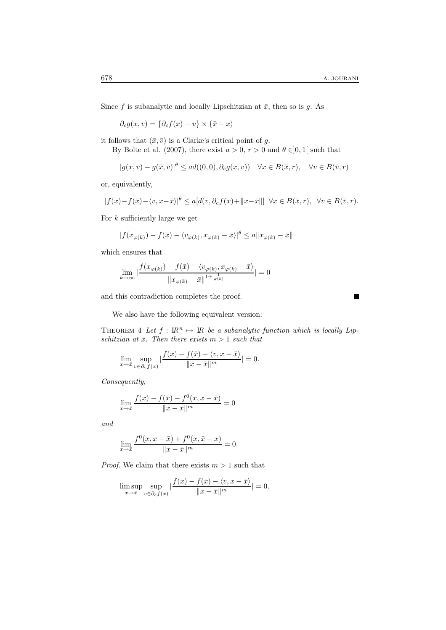Since f is subanalytic and locally Lipschitzian at  $\bar{x}$ , then so is g. As

 $\partial_c g(x, v) = {\partial_c f(x) - v} \times {\overline{x} - x}$ 

it follows that  $(\bar{x}, \bar{v})$  is a Clarke's critical point of g.

By Bolte et al. (2007), there exist  $a > 0$ ,  $r > 0$  and  $\theta \in ]0,1[$  such that

$$
|g(x,v) - g(\bar{x},\bar{v})|^{2} \le ad((0,0),\partial_{c}g(x,v)) \quad \forall x \in B(\bar{x},r), \quad \forall v \in B(\bar{v},r)
$$

or, equivalently,

$$
|f(x)-f(\bar{x})-\langle v, x-\bar{x}\rangle|^{\theta} \le a[d(v,\partial_c f(x)+\|x-\bar{x}\|] \quad \forall x \in B(\bar{x},r), \quad \forall v \in B(\bar{v},r).
$$

For  $k$  sufficiently large we get

$$
|f(x_{\varphi(k)}) - f(\bar{x}) - \langle v_{\varphi(k)}, x_{\varphi(k)} - \bar{x} \rangle|^{2} \le a \|x_{\varphi(k)} - \bar{x}\|
$$

which ensures that

$$
\lim_{k \to \infty} \left| \frac{f(x_{\varphi(k)}) - f(\bar{x}) - \langle v_{\varphi(k)}, x_{\varphi(k)} - \bar{x} \rangle}{\left\| x_{\varphi(k)} - \bar{x} \right\|^{1 + \frac{1}{\varphi(k)}}} \right| = 0
$$

and this contradiction completes the proof.

П

We also have the following equivalent version:

THEOREM 4 Let  $f: \mathbb{R}^n \mapsto \mathbb{R}$  be a subanalytic function which is locally Lipschitzian at  $\bar{x}$ . Then there exists  $m > 1$  such that

$$
\lim_{x \to \bar{x}} \sup_{v \in \partial_c f(x)} \left| \frac{f(x) - f(\bar{x}) - \langle v, x - \bar{x} \rangle}{\|x - \bar{x}\|^{m}} \right| = 0.
$$

Consequently,

$$
\lim_{x \to \bar{x}} \frac{f(x) - f(\bar{x}) - f^{0}(x, x - \bar{x})}{\|x - \bar{x}\|^{m}} = 0
$$

and

$$
\lim_{x \to \bar{x}} \frac{f^{0}(x, x - \bar{x}) + f^{0}(x, \bar{x} - x)}{\|x - \bar{x}\|^{m}} = 0.
$$

*Proof.* We claim that there exists  $m > 1$  such that

$$
\limsup_{x \to \bar{x}} \sup_{v \in \partial_c f(x)} \frac{|f(x) - f(\bar{x}) - \langle v, x - \bar{x} \rangle}{\|x - \bar{x}\|^m} = 0.
$$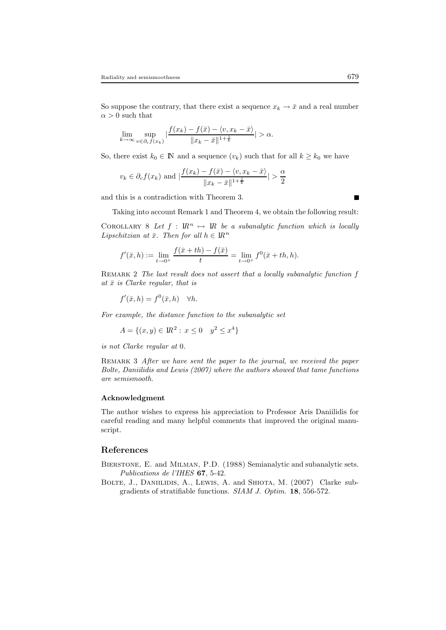So suppose the contrary, that there exist a sequence  $x_k \to \bar{x}$  and a real number  $\alpha > 0$  such that

$$
\lim_{k \to \infty} \sup_{v \in \partial_c f(x_k)} \left| \frac{f(x_k) - f(\bar{x}) - \langle v, x_k - \bar{x} \rangle}{\|x_k - \bar{x}\|^{1 + \frac{1}{k}}} \right| > \alpha.
$$

So, there exist  $k_0 \in \mathbb{N}$  and a sequence  $(v_k)$  such that for all  $k \geq k_0$  we have

$$
v_k \in \partial_c f(x_k)
$$
 and  $\left| \frac{f(x_k) - f(\bar{x}) - \langle v, x_k - \bar{x} \rangle}{\|x_k - \bar{x}\|^{1 + \frac{1}{k}}}\right| > \frac{\alpha}{2}$ 

and this is a contradiction with Theorem 3.

Taking into account Remark 1 and Theorem 4, we obtain the following result:

COROLLARY 8 Let  $f : \mathbb{R}^n \mapsto \mathbb{R}$  be a subanalytic function which is locally Lipschitzian at  $\bar{x}$ . Then for all  $h \in \mathbb{R}^n$ 

$$
f'(\bar{x}, h) := \lim_{t \to 0^+} \frac{f(\bar{x} + th) - f(\bar{x})}{t} = \lim_{t \to 0^+} f^0(\bar{x} + th, h).
$$

REMARK 2 The last result does not assert that a locally subanalytic function f at  $\bar{x}$  is Clarke regular, that is

$$
f'(\bar{x}, h) = f^{0}(\bar{x}, h) \quad \forall h.
$$

For example, the distance function to the subanalytic set

$$
A = \{(x, y) \in \mathbb{R}^2 : x \le 0 \quad y^2 \le x^4\}
$$

is not Clarke regular at 0.

REMARK 3 After we have sent the paper to the journal, we received the paper Bolte, Daniilidis and Lewis (2007) where the authors showed that tame functions are semismooth.

#### Acknowledgment

The author wishes to express his appreciation to Professor Aris Daniilidis for careful reading and many helpful comments that improved the original manuscript.

#### References

Bierstone, E. and Milman, P.D. (1988) Semianalytic and subanalytic sets. Publications de l'IHES 67, 5-42.

BOLTE, J., DANIILIDIS, A., LEWIS, A. and SHIOTA, M. (2007) Clarke subgradients of stratifiable functions. SIAM J. Optim. 18, 556-572.